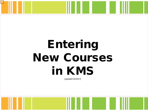#### Entering<br>
United States  $i$ **n**  $k$ View as Notes Pages to view accompanying instructions New Courses in KMS

(updated 02/2017)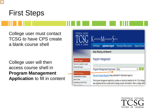#### First Steps

College user must contact TCSG to have CPS create a blank course shell

College user will then access course shell in **Program Management Application** to fill in content



TECHNICAL COLLEGE SYSTEM OF GEORGIA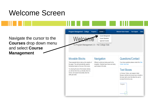#### Welcome Screen

Navigate the cursor to the **Courses** drop down menu and select **Course Management**

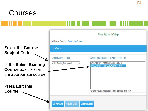

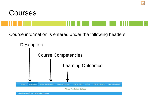



Course information is entered under the following headers:



**Course Description & General Information**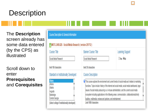# **Description**

The **Description** screen already has some data entered (by the CPS) as illustrated

Scroll down to enter **Prerequisites**  and **Corequisite s**

| Course Description & General Information                                      |                                                                                                                                                                                                                                                                                                                                                                                                                                                                                                          |                  |  |  |  |  |  |
|-------------------------------------------------------------------------------|----------------------------------------------------------------------------------------------------------------------------------------------------------------------------------------------------------------------------------------------------------------------------------------------------------------------------------------------------------------------------------------------------------------------------------------------------------------------------------------------------------|------------------|--|--|--|--|--|
| MKTG 2400.820 - Social Media Research (version 201712)                        |                                                                                                                                                                                                                                                                                                                                                                                                                                                                                                          |                  |  |  |  |  |  |
| Course Title                                                                  | <b>Banner Course Title</b>                                                                                                                                                                                                                                                                                                                                                                                                                                                                               | Learning Support |  |  |  |  |  |
| Social Media Research                                                         | Social Media Research                                                                                                                                                                                                                                                                                                                                                                                                                                                                                    | OYes ONo         |  |  |  |  |  |
| imit 100 characters                                                           | limit 30 characters                                                                                                                                                                                                                                                                                                                                                                                                                                                                                      |                  |  |  |  |  |  |
| Standard or Institutionally Developed                                         | <b>Course Description</b>                                                                                                                                                                                                                                                                                                                                                                                                                                                                                |                  |  |  |  |  |  |
| Albany<br>Athens<br>Atlanta<br>Augusta                                        | This course explores the environment and current trends of social media as it relates to marketing<br>functions. Topics include: history of the internet and social media, social media dashboards, legal<br>issues of social media, outsourcing vs. in-house administration, and the current social media<br>ecosystem including applications in the following areas: communication, collaboration/authority<br>building, multimedia, reviews and opinions, and entertainment.<br>Limit 1000 characters |                  |  |  |  |  |  |
| Bainbridge<br>Central Georgia<br>Select college if institutionally developed) |                                                                                                                                                                                                                                                                                                                                                                                                                                                                                                          |                  |  |  |  |  |  |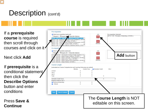#### Description (cont'd)

If a **prerequisite course** is required then scroll through courses and click on it

Next click **Add**

If **prerequisite** is a conditional statement then click the **Describe Options**  button and enter conditions

Press **Save & Continue**

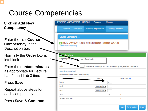## Course Competencies

| Click on <b>Add New</b>                                                                  | Program Management - College                                                                                      | Programs-                          | Courses -                                                                               |  |
|------------------------------------------------------------------------------------------|-------------------------------------------------------------------------------------------------------------------|------------------------------------|-----------------------------------------------------------------------------------------|--|
| <b>Competency</b>                                                                        | <b>Description</b><br>Courses                                                                                     | <b>Course Competencies</b>         | <b>Learning Outcomes</b>                                                                |  |
| <b>Enter the first Course</b><br><b>Competency</b> in the<br>Description box             | <b>Course Competencies</b><br>MKTG 2400.820 - Social Media Research (version 201712)<br><b>Add New Competency</b> |                                    |                                                                                         |  |
| Normally the <b>Order</b> box is<br>left blank                                           | <b>The Competency</b><br><b>Competency Descrip</b>                                                                | History of social media            |                                                                                         |  |
| Enter the <b>contact minutes</b><br>as appropriate for Lecture,<br>Lab 2, and Lab 3 time | Order<br>Course Competency Length<br>(enter minutes in whole umbers with no decimals)                             |                                    | Enter the order in which you wish this Competency to appear (leave blank to add at end) |  |
| <b>Press Save</b>                                                                        | Lecture                                                                                                           | Minutes                            | Contact Unit<br>100                                                                     |  |
| Repeat above steps for<br>each competency                                                | Lab 2<br>Lab <sub>3</sub><br>Total                                                                                | Demonstration V<br>Demonstration V | 100<br>0.13                                                                             |  |
| Press Save & Continue                                                                    | <b>Semester Credit Hours</b>                                                                                      |                                    | 0                                                                                       |  |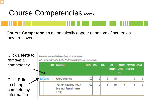#### Course Competencies (cont'd)

**Course Competencies** automatically appear at bottom of screen as they are saved.

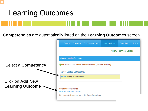

#### Learning Outcomes

**Competencies** are automatically listed on the **Learning Outcomes** screen.

|                                                    | <b>Courses</b>                  | <b>Description</b>              | <b>Course Competencies</b>                               | Learning Outcomes | <b>Course Notes</b>             | Review |
|----------------------------------------------------|---------------------------------|---------------------------------|----------------------------------------------------------|-------------------|---------------------------------|--------|
|                                                    |                                 |                                 |                                                          |                   | <b>Albany Technical College</b> |        |
|                                                    | <b>Course Learning Outcomes</b> |                                 |                                                          |                   |                                 |        |
| <b>Select a Competency</b>                         |                                 |                                 | MKTG 2400.820 - Social Media Research (version 201712)   |                   |                                 |        |
|                                                    |                                 | <b>Select Course Competency</b> |                                                          |                   |                                 |        |
|                                                    |                                 | Select History of social media  |                                                          |                   |                                 |        |
| <b>Click on Add New</b><br><b>Learning Outcome</b> | <b>History of social media</b>  |                                 |                                                          |                   |                                 |        |
|                                                    | Add New Competency Outcome      |                                 |                                                          |                   |                                 |        |
|                                                    |                                 |                                 | No Learning Outcomes entered for this Course Competency. |                   |                                 |        |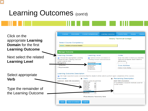#### Learning Outcomes (cont'd)

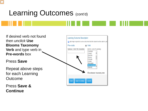## Learning Outcomes (cont'd)



12

**Continue**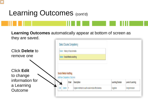#### Learning Outcomes (cont'd)

**Learning Outcomes** automatically appear at bottom of screen as they are saved.

remove one Click **Edit** to change information for a Learning **Outcome** 

Click **Delete** to

|                                     |       | <b>Select Course Competency</b> |                        |                          |
|-------------------------------------|-------|---------------------------------|------------------------|--------------------------|
| Select History of social media      |       |                                 |                        |                          |
| <b>Select Social Media Auditing</b> |       |                                 |                        |                          |
|                                     |       |                                 |                        |                          |
|                                     |       |                                 |                        |                          |
|                                     |       |                                 |                        |                          |
| <b>Social Media Auditing</b>        |       |                                 |                        |                          |
| Add New Competency Outcome          |       |                                 |                        |                          |
|                                     | Order | <b>Description</b>              | <b>Learning Domain</b> | <b>Level of Learning</b> |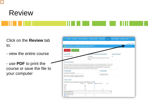

 $\sqrt{C}$ 

#### Review

Click on the **Review** tab

to: - view the entire course - use **PDF** to print the course or save the file to your computer

| <b>Description</b><br><b>Courses</b>                                                                                                                                                                                                                                                                                                                                                                                                                                        |                            |                                                                |                     |        |                         |                         |  |
|-----------------------------------------------------------------------------------------------------------------------------------------------------------------------------------------------------------------------------------------------------------------------------------------------------------------------------------------------------------------------------------------------------------------------------------------------------------------------------|----------------------------|----------------------------------------------------------------|---------------------|--------|-------------------------|-------------------------|--|
|                                                                                                                                                                                                                                                                                                                                                                                                                                                                             | <b>Course Competencies</b> | <b>Learning Outcomes</b>                                       | <b>Course Notes</b> | Review | <b>Course Standards</b> | <b>Approved Courses</b> |  |
|                                                                                                                                                                                                                                                                                                                                                                                                                                                                             |                            |                                                                |                     |        |                         |                         |  |
|                                                                                                                                                                                                                                                                                                                                                                                                                                                                             |                            |                                                                |                     |        |                         | Display as a PDF        |  |
| MKTG 2400.820 - Social Media Research ( version 201712 )                                                                                                                                                                                                                                                                                                                                                                                                                    |                            |                                                                |                     |        |                         |                         |  |
| <b>Un-lock Course</b><br><b>Lock Course</b>                                                                                                                                                                                                                                                                                                                                                                                                                                 |                            |                                                                |                     |        |                         |                         |  |
| Course Title                                                                                                                                                                                                                                                                                                                                                                                                                                                                |                            | <b>Huard or Institutionally Developed</b>                      |                     |        | Learning Support        |                         |  |
| Social Media Research                                                                                                                                                                                                                                                                                                                                                                                                                                                       |                            | $\Box$ Standard                                                |                     |        | N <sub>0</sub>          |                         |  |
|                                                                                                                                                                                                                                                                                                                                                                                                                                                                             |                            | Institutionally Developed College: Albany Technical<br>College |                     |        |                         |                         |  |
| <b>Course Description</b>                                                                                                                                                                                                                                                                                                                                                                                                                                                   |                            |                                                                |                     |        |                         |                         |  |
| This course explores the environment and current trends of social media as it relates to marketing functions. Topics include<br>history of the internet and social media, social media dashboards, legal issues of social media, outsourcing vs. in-house<br>administration, and the current social media ecosystem including applications in the following areas: communication,<br>collaboration/authority building, multimedia, reviews and opinions, and entertainment. |                            |                                                                |                     |        |                         |                         |  |
| Pre-requisites                                                                                                                                                                                                                                                                                                                                                                                                                                                              |                            |                                                                | Co-requisites       |        |                         |                         |  |
| Pre-requisites: All Required<br>MKTG 1100 - Principles of Marketing (201003L                                                                                                                                                                                                                                                                                                                                                                                                |                            |                                                                | Co-requisites: None |        |                         |                         |  |
| Course Length                                                                                                                                                                                                                                                                                                                                                                                                                                                               |                            |                                                                |                     |        |                         |                         |  |
| (calculated as Course Competencies and Learning Outcomes are added)                                                                                                                                                                                                                                                                                                                                                                                                         |                            |                                                                |                     |        |                         |                         |  |
|                                                                                                                                                                                                                                                                                                                                                                                                                                                                             | <b>Minutes</b>             | Contact Hour                                                   | Semester Credit     | WLU    |                         |                         |  |
| Lecture:                                                                                                                                                                                                                                                                                                                                                                                                                                                                    | 150                        | 3                                                              |                     |        |                         |                         |  |
| Lab2                                                                                                                                                                                                                                                                                                                                                                                                                                                                        | 150                        | 3                                                              |                     |        |                         |                         |  |
| Lab3<br>Total:                                                                                                                                                                                                                                                                                                                                                                                                                                                              | $\bf{0}$<br>300            | $\ddot{\phantom{0}}$<br>6                                      | 0.3                 |        |                         |                         |  |
|                                                                                                                                                                                                                                                                                                                                                                                                                                                                             |                            |                                                                |                     |        |                         |                         |  |
| Semester Credit Hours:<br>Breakout Detail of Lab 3                                                                                                                                                                                                                                                                                                                                                                                                                          |                            |                                                                | $\theta$            | 10.5   |                         |                         |  |
| Practicum/Internship                                                                                                                                                                                                                                                                                                                                                                                                                                                        | O                          | $\ddot{\phantom{0}}$                                           |                     |        |                         |                         |  |
| Clinical:                                                                                                                                                                                                                                                                                                                                                                                                                                                                   | $\theta$                   | $\theta$                                                       |                     |        |                         |                         |  |